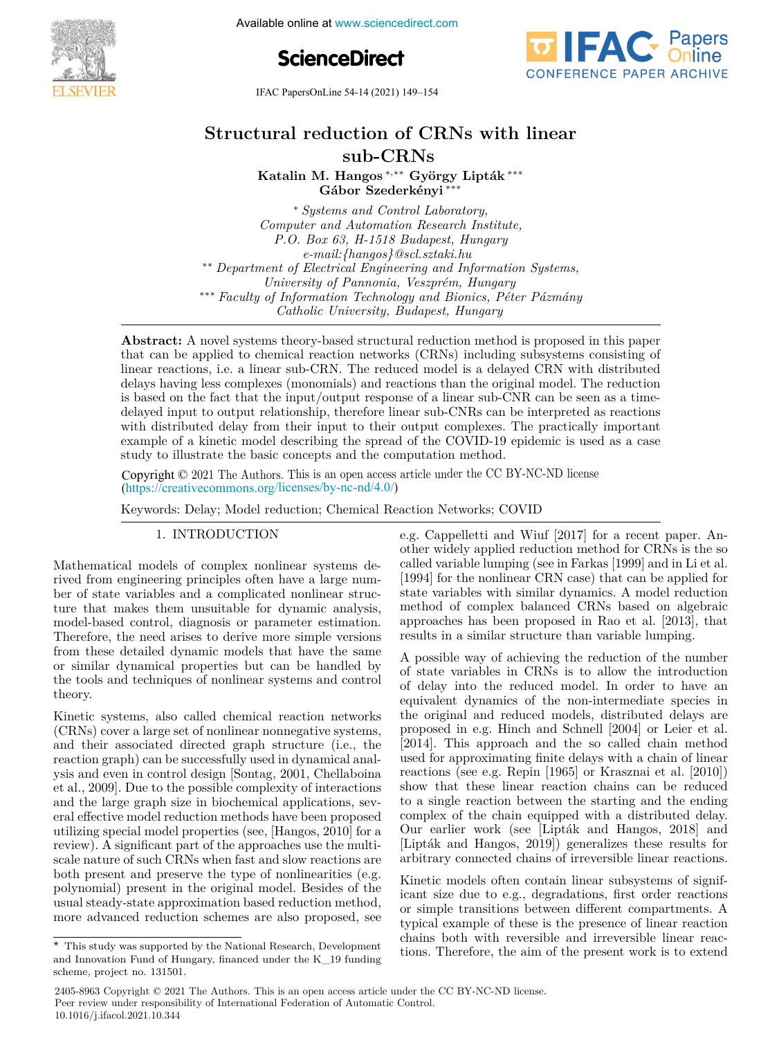

Available online at www.sciencedirect.com





IFAC PapersOnLine 54-14 (2021) 149–154  $S11$  ( $2021$ ) 15 W

#### **subset of**  $\mathbf{C}$ **Structural reduction of CRNs with linear**  $sub-CRNs$ **Structural reduction of CRNs with linear Structural reduction of CRNs with linear**

**Katalin M. Hangos** <sup>∗</sup>*,*∗∗ **György Lipták** ∗∗∗ **Katalin M. Hangos** <sup>∗</sup>*,*∗∗ **György Lipták** ∗∗∗ **Gábor Szederkényi** ∗∗∗ **Katalin M. Hangos** <sup>∗</sup>*,*∗∗ **György Lipták** ∗∗∗ **Gábor Szederkényi** ∗∗∗ **Gábor Szederkényi** ∗∗∗ **Gábor Szederkényi** ∗∗∗ **Katalin M. Hangos** <sup>∗</sup>*,*∗∗ **György Lipták** ∗∗∗ **Gábor Szederkényi** ∗∗∗ **Katalin M. Hangos** <sup>∗</sup>*,*∗∗ **György Lipták** ∗∗∗

∗ *Systems and Control Laboratory,* ∗ *Systems and Control Laboratory, Computer and Automation Research Institute, Computer and Automation Research Institute,* ∗ *Systems and Control Laboratory,* P.O. Box 63, H-1518 Budapest, Hungary 1.0. Box 69, H-1910 Baaapest, Hangary<br>e-mail:{hangos}@scl.sztaki.hu \*\* Department of Electrical Engineering and Information Systems, Department of Bicci ical Engineering and Information Bysichis,<br>University of Pannonia, Veszprém, Hungary *University of Pannonia, Veszprém, Hungary* <sup>84\*\*</sup> Faculty of Information Technology and Bionics, Péter Pázmány Catholic University, Budapest, Hungary *Catholic University, Budapest, Hungary* ∗ *Systems and Control Laboratory,* ∗ *Systems and Control Laboratory,* **Gábor Szederkényi** ∗∗∗ *Catholic University, Budapest, Hungary* ∗∗∗ *Faculty of Information Technology and Bionics, Péter Pázmány*

**Abstract:** A nover systems theory-based structural reduction method is proposed in this paper<br>that can be applied to chemical reaction networks (CRNs) including subsystems consisting of linear reactions, i.e. a linear sub-CRN. The reduced model is a delayed CRN with distributed linear reactions, i.e. a linear sub-CRN. The reduced model is a delayed CRN with distributed<br>delays having less complexes (monomials) and reactions than the original model. The reduction delays having less complexes (monomials) and reactions than the original model. The reduction<br>is based on the fact that the input/output response of a linear sub-CNR can be seen as a timeis based on the fact that the input/output response of a linear sub-CNR can be seen as a time-<br>delayed input to output relationship, therefore linear sub-CNRs can be interpreted as reactions delayed input to output relationship, therefore linear sub-CNTs can be interpreted as reactions<br>with distributed delay from their input to their output complexes. The practically important example of a kinetic model describing the spread of the COVID-19 epidemic is used as a case example of a kinetic model describing the spicad of the COVID-13 epidemic is used as a case<br>study to illustrate the basic concepts and the computation method. Abstract: A novel systems theory-based structural reduction method is proposed in this paper linear reactions, i.e. a linear sub-CRN. The reduced model is a delayed CRN with distributed<br>delays having less consistence (companied) and use them that the spiritual model. The reduction example of a kinetic model describing the spread of the COVID-19 epidemic is used as a case<br>study to illustrate the basic concepts and the computation method.

Construction of the Same concepts and the computation method.<br>Copyright © 2021 The Authors. This is an open access article under the CC BY-NC-ND license (https://creativecommons.org/licenses/by-nc-nd/4.0/) Copyright © 2021 The Authors. This is an open access article under the CC BY-NC-ND license

Keywords: Delay; Model reduction; Chemical Reaction Networks; COVID Keywords: Delay; Model reduction; Chemical Reaction Networks; COVID 1. International Control of the United States of the United States (1980) and the United States (1980) and the<br>1. International Control of the United States (1980) and the United States (1980) and the United States (1980) Keywords: Delay; Model reduction; Chemical Reaction Networks; COVID Keywords: Delay; Model reduction; Chemical Reaction Networks; COVID

1. INTRODUCTION 1. INTRODUCTION 1. INTRODUCTION 1. INTRODUCTION

Mathematical models of complex nonlinear systems demathematical models of complex nonlinear systems de-<br>rived from engineering principles often have a large numlived from engineering principles often have a large num-<br>ber of state variables and a complicated nonlinear strucber or state variables and a complicated nonlinear structure that makes them unsuitable for dynamic analysis, ture that makes them unsuitable for dynamic analysis, model-based control, diagnosis or parameter estimation. model-based control, diagnosis or parameter estimation.<br>Therefore, the need arises to derive more simple versions Therefore, the need arises to derive more simple versions<br>from these detailed dynamic models that have the same from these detailed dynamic models that have the same<br>or similar dynamical properties but can be handled by or similar dynamical properties but can be handled by<br>the tools and techniques of nonlinear systems and control theory. theory. or sining ayinamical properties but can be handled by<br>the tools and techniques of nonlinear systems and control  $\frac{\text{arccos} \chi}{\text{arccos} \chi}$ theory. theory.  $\alpha$  the ory.

Kinetic systems, also called chemical reaction networks (CRNs) cover a large set of nonlinear nonnegative systems, and their associated directed graph structure (i.e., the and their associated directed graph structure (i.e., the<br>reaction graph) can be successfully used in dynamical analreaction graph) can be successiuny used in dynamical analysis and even in control design [Sontag, 2001, Chellaboina et al., 2009]. Due to the possible complexity of interactions et al., 2009]. Due to the possible complexity of interactions<br>and the large graph size in biochemical applications, sevand the targe graph size in biochemical applications, several effective model reduction methods have been proposed eral effective model reduction methods have been proposed<br>utilizing special model properties (see, [Hangos, 2010] for a terminally special model properties (see, [Hangos, 2010] for a<br>review). A significant part of the approaches use the multireview). A significant part of the approaches use the multi-<br>scale nature of such CRNs when fast and slow reactions are both present and preserve the type of nonlinearities (e.g. both present and preserve the type of nonmearities (e.g.<br>polynomial) present in the original model. Besides of the polynomial) present in the original model. Besides of the<br>usual steady-state approximation based reduction method, usual steady-state approximation based reduction method, more advanced reduction schemes are also proposed, see more advanced reduction schemes are also proposed, see ysis and even in control design [Sontag, 2001, Chellaboina]<br>et al., 2000]. Due to the possible complexity of interactions more advanced reduction schemes are also proposed, see more advanced reduction schemes are also proposed, see usual steady-state approximation based reduction method,

This study was supported by the National Research, Development

e.g. Cappelletti and Wiuf [2017] for a recent paper. Ane.g. Cappenent and Will [2017] for a recent paper. An-<br>other widely applied reduction method for CRNs is the so called variable lumping (see in Farkas [1999] and in Li et al. (1994) for the nonlinear CRN case) that can be applied for  $[1334]$  for the hominear Crity case) that can be applied for<br>state variables with similar dynamics. A model reduction method of complex balanced CRNs based on algebraic approaches has been proposed in Rao et al. [2013], that results in a similar structure than variable lumping. approaches has been proposed in Rao et al. [2013], that results in a similar structure than variable lumping. e.g. Cappelletti and Wiuf [2017] for a recent paper. Anapproaches has been proposed in Rao et al. [2013], that results in a similar structure than variable lumping.

A possible way of achieving the reduction of the number A possible way of achieving the reduction of the number<br>of state variables in CRNs is to allow the introduction of delay into the reduced model. In order to have an equivalent dynamics of the non-intermediate species in the original and reduced models, distributed delays are proposed in e.g. Hinch and Schnell [2004] or Leier et al. proposed in e.g. Third and Scillen [2004] of Lefer et al.<br>[2014]. This approach and the so called chain method explorer. This approach and the so cannot chain method used for approximating finite delays with a chain of linear used for approximating finite delays with a chain of linear reactions (see e.g. Repin  $[1965]$  or Krasznai et al.  $[2010]$ ) show that these linear reaction chains can be reduced show that these linear reaction chains can be reduced<br>to a single reaction between the starting and the ending complex of the chain equipped with a distributed delay. complex of the chain equipped with a distributed delay.<br>Our earlier work (see [Lipták and Hangos, 2018] and University of Kietz (Liptak and Hangos, 2010) and<br>[Lipták and Hangos, 2019]) generalizes these results for arbitrary connected chains of irreversible linear reactions. [Lipták and Hangos, 2019]) generalizes these results for arbitrary connected chains of irreversible linear reactions. arbitrary connected chains of irreversible linear reactions. arbitrary connected chains of irreversible linear reactions. [Lipták and Hangos, 2019]) generalizes these results for of delay into the reduced model. In order to have an<br>equivalent dynamics of the non-intermediate species in<br>the original and reduced models, distributed delays are

Kinetic models often contain linear subsystems of significant size due to e.g., degradations, first order reactions or simple transitions between different compartments. A or simple transitions between unterent compartments. A<br>typical example of these is the presence of linear reaction cypical example of these is the presence of linear reaction<br>chains both with reversible and irreversible linear reactions. Therefore, the aim of the present work is to extend chains both with reversible and irreversible linear reactions. Therefore, the aim of the present work is to extend icant size due to e.g., degradations, first order reactions<br>
consignificant container of significant container substitutions tions. Therefore, the aim of the present work is to extend tions. Therefore, the aim of the present work is to extend chains both with reversible and irreversible linear reac-

 $\overline{\hspace{1cm}}$  This study was supported by the National Research, Development This study was supported by the National Research, Development<br>and Innovation Fund of Hungary, financed under the K\_19 funding  $s$ cheme, project no. 131501.  $\star$  This study was supported by the National Research, Development scheme, project no. 131501. scheme, project no. 131501. and Innovation Fund of Hungary, financed under the K\_19 funding more advanced reduction schemes are also proposed, see

<sup>2405-8963</sup> Copyright © 2021 The Authors. This is an open access article under the CC BY-NC-ND license. Peer review under responsibility of International Federation of Automatic Control. 10.1016/j.ifacol.2021.10.344 scheme, project no. 131501.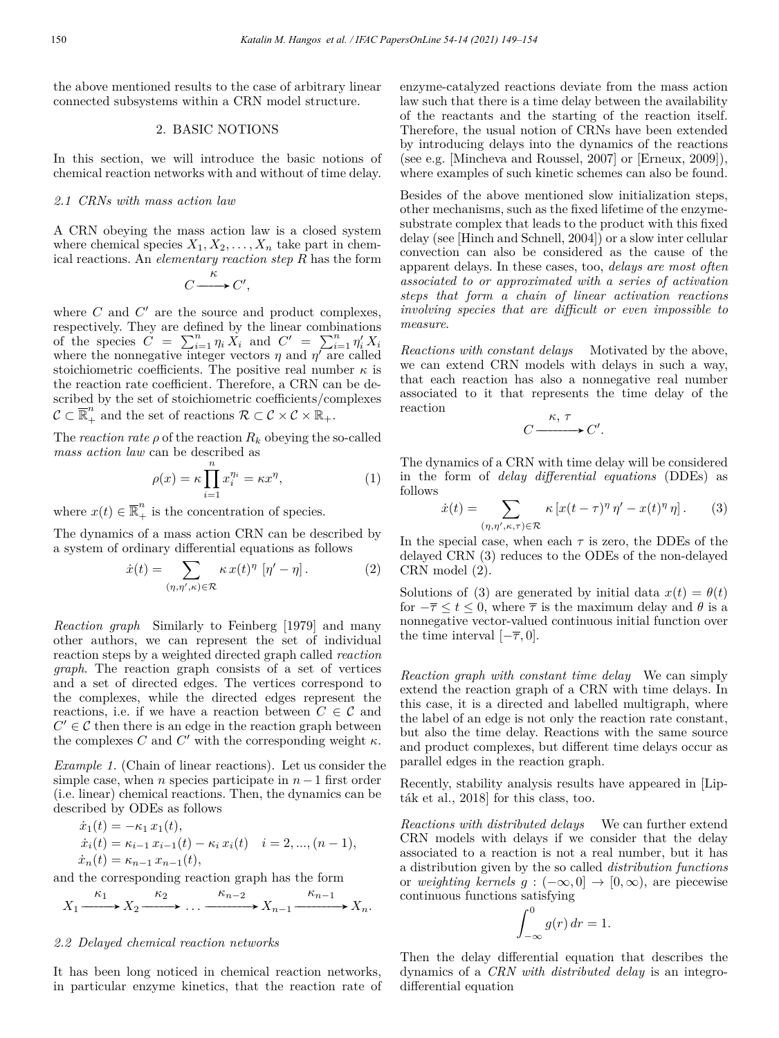the above mentioned results to the case of arbitrary linear connected subsystems within a CRN model structure.

## 2. BASIC NOTIONS

In this section, we will introduce the basic notions of chemical reaction networks with and without of time delay.

## *2.1 CRNs with mass action law*

A CRN obeying the mass action law is a closed system where chemical species  $X_1, X_2, \ldots, X_n$  take part in chemical reactions. An *elementary reaction step R* has the form

$$
C \xrightarrow{\kappa} C',
$$

where  $C$  and  $C'$  are the source and product complexes, respectively. They are defined by the linear combinations of the species  $C = \sum_{i=1}^{n} \eta_i X_i$  and  $C' = \sum_{i=1}^{n} \eta_i X_i$ where the nonnegative integer vectors  $\eta$  and  $\eta'$  are called stoichiometric coefficients. The positive real number  $\kappa$  is the reaction rate coefficient. Therefore, a CRN can be described by the set of stoichiometric coefficients/complexes  $\mathcal{C} \subset \overline{\mathbb{R}}_+^n$  and the set of reactions  $\mathcal{R} \subset \mathcal{C} \times \mathcal{C} \times \mathbb{R}_+$ .

The *reaction rate*  $\rho$  of the reaction  $R_k$  obeying the so-called *mass action law* can be described as

$$
\rho(x) = \kappa \prod_{i=1}^{n} x_i^{\eta_i} = \kappa x^{\eta},\tag{1}
$$

where  $x(t) \in \overline{\mathbb{R}}_+^n$  is the concentration of species.

The dynamics of a mass action CRN can be described by a system of ordinary differential equations as follows

$$
\dot{x}(t) = \sum_{(\eta,\eta',\kappa) \in \mathcal{R}} \kappa \, x(t)^{\eta} \, [\eta'-\eta] \,. \tag{2}
$$

*Reaction graph* Similarly to Feinberg [1979] and many other authors, we can represent the set of individual reaction steps by a weighted directed graph called *reaction graph*. The reaction graph consists of a set of vertices and a set of directed edges. The vertices correspond to the complexes, while the directed edges represent the reactions, i.e. if we have a reaction between  $C \in \mathcal{C}$  and  $C' \in \mathcal{C}$  then there is an edge in the reaction graph between the complexes *C* and  $C'$  with the corresponding weight  $\kappa$ .

*Example 1.* (Chain of linear reactions). Let us consider the simple case, when *n* species participate in  $n-1$  first order (i.e. linear) chemical reactions. Then, the dynamics can be described by ODEs as follows

$$
\begin{aligned}\n\dot{x}_1(t) &= -\kappa_1 \, x_1(t), \\
\dot{x}_i(t) &= \kappa_{i-1} \, x_{i-1}(t) - \kappa_i \, x_i(t) \quad i = 2, \dots, (n-1), \\
\dot{x}_n(t) &= \kappa_{n-1} \, x_{n-1}(t),\n\end{aligned}
$$

and the corresponding reaction graph has the form

$$
X_1 \xrightarrow{\kappa_1} X_2 \xrightarrow{\kappa_2} \dots \xrightarrow{\kappa_{n-2}} X_{n-1} \xrightarrow{\kappa_{n-1}} X_n.
$$

# *2.2 Delayed chemical reaction networks*

It has been long noticed in chemical reaction networks, in particular enzyme kinetics, that the reaction rate of enzyme-catalyzed reactions deviate from the mass action law such that there is a time delay between the availability of the reactants and the starting of the reaction itself. Therefore, the usual notion of CRNs have been extended by introducing delays into the dynamics of the reactions (see e.g. [Mincheva and Roussel, 2007] or [Erneux, 2009]), where examples of such kinetic schemes can also be found.

Besides of the above mentioned slow initialization steps, other mechanisms, such as the fixed lifetime of the enzymesubstrate complex that leads to the product with this fixed delay (see [Hinch and Schnell, 2004]) or a slow inter cellular convection can also be considered as the cause of the apparent delays. In these cases, too, *delays are most often associated to or approximated with a series of activation steps that form a chain of linear activation reactions involving species that are difficult or even impossible to measure*.

*Reactions with constant delays* Motivated by the above, we can extend CRN models with delays in such a way, that each reaction has also a nonnegative real number associated to it that represents the time delay of the reaction

$$
C \xrightarrow{\kappa, \tau} C'.
$$

The dynamics of a CRN with time delay will be considered in the form of *delay differential equations* (DDEs) as follows

$$
\dot{x}(t) = \sum_{(\eta,\eta',\kappa,\tau) \in \mathcal{R}} \kappa \left[ x(t-\tau)^\eta \, \eta' - x(t)^\eta \, \eta \right]. \tag{3}
$$

In the special case, when each  $\tau$  is zero, the DDEs of the delayed CRN (3) reduces to the ODEs of the non-delayed CRN model (2).

Solutions of (3) are generated by initial data  $x(t) = \theta(t)$ for  $-\overline{\tau} \leq t \leq 0$ , where  $\overline{\tau}$  is the maximum delay and  $\theta$  is a nonnegative vector-valued continuous initial function over the time interval  $[-\overline{\tau}, 0]$ .

*Reaction graph with constant time delay* We can simply extend the reaction graph of a CRN with time delays. In this case, it is a directed and labelled multigraph, where the label of an edge is not only the reaction rate constant, but also the time delay. Reactions with the same source and product complexes, but different time delays occur as parallel edges in the reaction graph.

Recently, stability analysis results have appeared in [Lipták et al., 2018] for this class, too.

*Reactions with distributed delays* We can further extend CRN models with delays if we consider that the delay associated to a reaction is not a real number, but it has a distribution given by the so called *distribution functions* or *weighting kernels*  $q : (-\infty, 0] \rightarrow [0, \infty)$ , are piecewise continuous functions satisfying

$$
\int_{-\infty}^{0} g(r) dr = 1.
$$

Then the delay differential equation that describes the dynamics of a *CRN with distributed delay* is an integrodifferential equation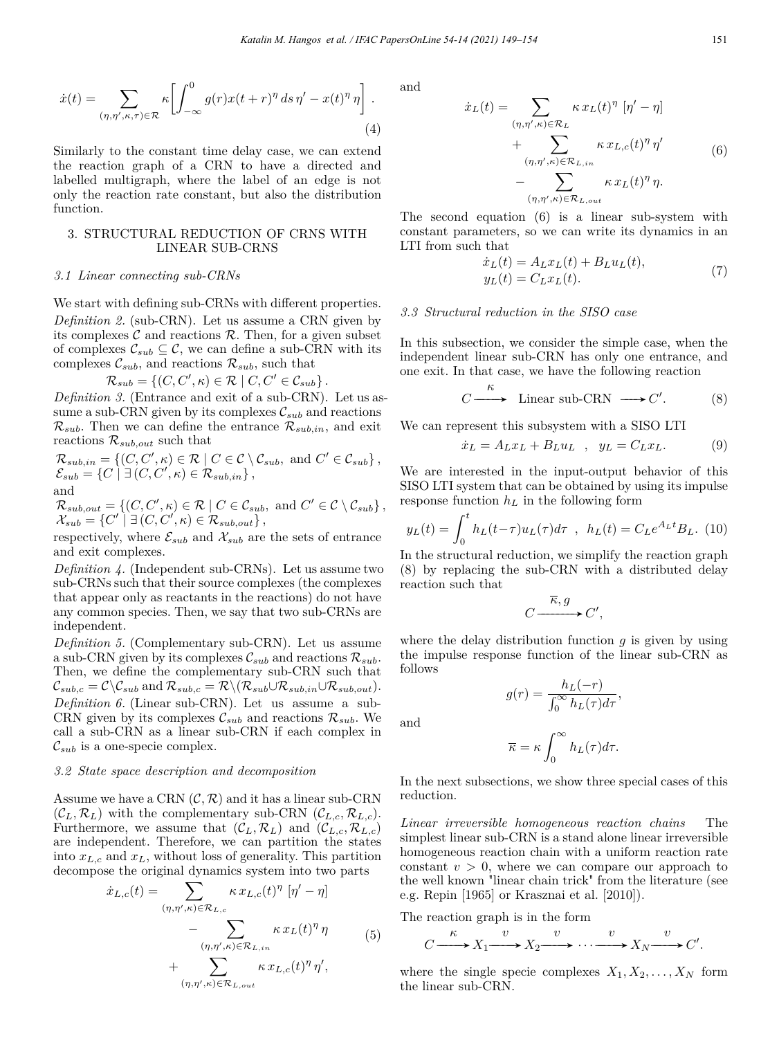$$
\dot{x}(t) = \sum_{(\eta,\eta',\kappa,\tau) \in \mathcal{R}} \kappa \left[ \int_{-\infty}^{0} g(r)x(t+r)^{\eta} ds \,\eta' - x(t)^{\eta} \,\eta \right]. \tag{4}
$$

Similarly to the constant time delay case, we can extend the reaction graph of a CRN to have a directed and labelled multigraph, where the label of an edge is not only the reaction rate constant, but also the distribution function.

# 3. STRUCTURAL REDUCTION OF CRNS WITH LINEAR SUB-CRNS

#### *3.1 Linear connecting sub-CRNs*

We start with defining sub-CRNs with different properties. *Definition 2.* (sub-CRN). Let us assume a CRN given by its complexes  $\mathcal C$  and reactions  $\mathcal R$ . Then, for a given subset of complexes  $\mathcal{C}_{sub} \subseteq \mathcal{C}$ , we can define a sub-CRN with its complexes  $\mathcal{C}_{sub}$ , and reactions  $\mathcal{R}_{sub}$ , such that

$$
\mathcal{R}_{sub} = \left\{ (C, C', \kappa) \in \mathcal{R} \mid C, C' \in \mathcal{C}_{sub} \right\}.
$$

*Definition 3.* (Entrance and exit of a sub-CRN). Let us assume a sub-CRN given by its complexes  $\mathcal{C}_{sub}$  and reactions  $\mathcal{R}_{sub}$ . Then we can define the entrance  $\mathcal{R}_{sub,in}$ , and exit reactions R*sub,out* such that

$$
\mathcal{R}_{sub,in} = \{ (C, C', \kappa) \in \mathcal{R} \mid C \in \mathcal{C} \setminus \mathcal{C}_{sub}, \text{ and } C' \in \mathcal{C}_{sub} \},
$$
  
\n
$$
\mathcal{E}_{sub} = \{ C \mid \exists (C, C', \kappa) \in \mathcal{R}_{sub,in} \},
$$
  
\nand

$$
\mathcal{R}_{sub,out} = \{ (C, C', \kappa) \in \mathcal{R} \mid C \in \mathcal{C}_{sub}, \text{ and } C' \in \mathcal{C} \setminus \mathcal{C}_{sub} \},\
$$
  

$$
\mathcal{X}_{sub} = \{ C' \mid \exists (C, C', \kappa) \in \mathcal{R}_{sub,out} \},\
$$

respectively, where  $\mathcal{E}_{sub}$  and  $\mathcal{X}_{sub}$  are the sets of entrance and exit complexes.

*Definition 4.* (Independent sub-CRNs). Let us assume two sub-CRNs such that their source complexes (the complexes that appear only as reactants in the reactions) do not have any common species. Then, we say that two sub-CRNs are independent.

*Definition 5.* (Complementary sub-CRN). Let us assume a sub-CRN given by its complexes  $\mathcal{C}_{sub}$  and reactions  $\mathcal{R}_{sub}$ . Then, we define the complementary sub-CRN such that  $\mathcal{C}_{sub,c} = \mathcal{C} \backslash \mathcal{C}_{sub}$  and  $\mathcal{R}_{sub,c} = \mathcal{R} \backslash (\mathcal{R}_{sub} \cup \mathcal{R}_{sub,in} \cup \mathcal{R}_{sub,out}).$ *Definition 6.* (Linear sub-CRN). Let us assume a sub-CRN given by its complexes  $\mathcal{C}_{sub}$  and reactions  $\mathcal{R}_{sub}$ . We call a sub-CRN as a linear sub-CRN if each complex in  $\mathcal{C}_{sub}$  is a one-specie complex.

## *3.2 State space description and decomposition*

Assume we have a CRN  $(C, \mathcal{R})$  and it has a linear sub-CRN  $(C_L, \mathcal{R}_L)$  with the complementary sub-CRN  $(C_{L,c}, \mathcal{R}_{L,c})$ . Furthermore, we assume that  $(C_L, \mathcal{R}_L)$  and  $(C_{L,c}, \mathcal{R}_{L,c})$ are independent. Therefore, we can partition the states into *xL,c* and *xL*, without loss of generality. This partition decompose the original dynamics system into two parts

$$
\dot{x}_{L,c}(t) = \sum_{(\eta,\eta',\kappa) \in \mathcal{R}_{L,c}} \kappa x_{L,c}(t)^{\eta} [\eta' - \eta] \n- \sum_{(\eta,\eta',\kappa) \in \mathcal{R}_{L,in}} \kappa x_{L}(t)^{\eta} \eta \n+ \sum_{(\eta,\eta',\kappa) \in \mathcal{R}_{L,out}} \kappa x_{L,c}(t)^{\eta} \eta',
$$
\n(5)

and

and

$$
\dot{x}_L(t) = \sum_{(\eta,\eta',\kappa) \in \mathcal{R}_L} \kappa x_L(t)^{\eta} [\eta' - \eta] \n+ \sum_{(\eta,\eta',\kappa) \in \mathcal{R}_{L,in}} \kappa x_{L,c}(t)^{\eta} \eta' \n- \sum_{(\eta,\eta',\kappa) \in \mathcal{R}_{L,out}} \kappa x_L(t)^{\eta} \eta.
$$
\n(6)

The second equation (6) is a linear sub-system with constant parameters, so we can write its dynamics in an LTI from such that

$$
\begin{aligned} \dot{x}_L(t) &= A_L x_L(t) + B_L u_L(t), \\ y_L(t) &= C_L x_L(t). \end{aligned} \tag{7}
$$

## *3.3 Structural reduction in the SISO case*

In this subsection, we consider the simple case, when the independent linear sub-CRN has only one entrance, and one exit. In that case, we have the following reaction

$$
C \xrightarrow{\kappa} \text{Linear sub-CRN} \longrightarrow C'. \tag{8}
$$

We can represent this subsystem with a SISO LTI

$$
\dot{x}_L = A_L x_L + B_L u_L \quad , \quad y_L = C_L x_L. \tag{9}
$$

We are interested in the input-output behavior of this SISO LTI system that can be obtained by using its impulse response function *h<sup>L</sup>* in the following form

$$
y_L(t) = \int_0^t h_L(t-\tau)u_L(\tau)d\tau \, , \, h_L(t) = C_L e^{A_L t} B_L. \, (10)
$$

In the structural reduction, we simplify the reaction graph (8) by replacing the sub-CRN with a distributed delay reaction such that

$$
C\frac{\overline{\kappa},g}{\xrightarrow{\qquad}}C',
$$

where the delay distribution function  $g$  is given by using the impulse response function of the linear sub-CRN as follows

$$
g(r) = \frac{h_L(-r)}{\int_0^\infty h_L(\tau)d\tau},
$$

$$
\overline{\kappa} = \kappa \int_0^\infty h_L(\tau) d\tau.
$$

In the next subsections, we show three special cases of this reduction.

*Linear irreversible homogeneous reaction chains* The simplest linear sub-CRN is a stand alone linear irreversible homogeneous reaction chain with a uniform reaction rate constant  $v > 0$ , where we can compare our approach to the well known "linear chain trick" from the literature (see e.g. Repin [1965] or Krasznai et al. [2010]).

The reaction graph is in the form

$$
C \xrightarrow{\kappa} X_1 \xrightarrow{v} X_2 \xrightarrow{v} \cdots \xrightarrow{v} X_N \xrightarrow{v} C'.
$$

where the single specie complexes  $X_1, X_2, \ldots, X_N$  form the linear sub-CRN.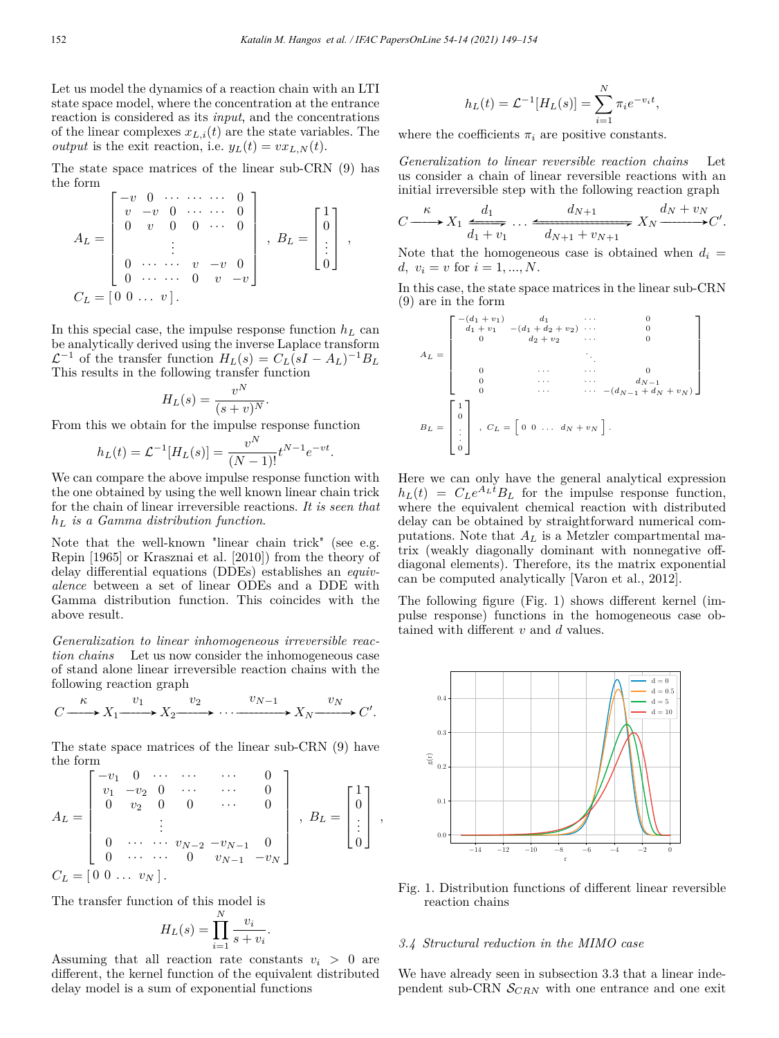Let us model the dynamics of a reaction chain with an LTI state space model, where the concentration at the entrance reaction is considered as its *input*, and the concentrations of the linear complexes  $x_{L,i}(t)$  are the state variables. The *output* is the exit reaction, i.e.  $y_L(t) = v x_{L,N}(t)$ .

The state space matrices of the linear sub-CRN (9) has the form

$$
A_L = \begin{bmatrix} -v & 0 & \cdots & \cdots & 0 \\ v & -v & 0 & \cdots & \cdots & 0 \\ 0 & v & 0 & 0 & \cdots & 0 \\ & & \vdots & & & \\ 0 & \cdots & \cdots & v & -v & 0 \\ 0 & \cdots & \cdots & 0 & v & -v \end{bmatrix}, B_L = \begin{bmatrix} 1 \\ 0 \\ \vdots \\ 0 \end{bmatrix},
$$
  

$$
C_L = \begin{bmatrix} 0 & 0 & \cdots & v & 0 \\ 0 & \cdots & v & 0 & v & -v \end{bmatrix}
$$

In this special case, the impulse response function  $h_L$  can be analytically derived using the inverse Laplace transform  $\mathcal{L}^{-1}$  of the transfer function  $H_L(s) = C_L(sI - A_L)^{-1}B_L$ This results in the following transfer function

$$
H_L(s) = \frac{v^N}{(s+v)^N}.
$$

From this we obtain for the impulse response function

$$
h_L(t) = \mathcal{L}^{-1}[H_L(s)] = \frac{v^N}{(N-1)!} t^{N-1} e^{-vt}.
$$

We can compare the above impulse response function with the one obtained by using the well known linear chain trick for the chain of linear irreversible reactions. *It is seen that h<sup>L</sup> is a Gamma distribution function*.

Note that the well-known "linear chain trick" (see e.g. Repin [1965] or Krasznai et al. [2010]) from the theory of delay differential equations (DDEs) establishes an *equivalence* between a set of linear ODEs and a DDE with Gamma distribution function. This coincides with the above result.

*Generalization to linear inhomogeneous irreversible reaction chains* Let us now consider the inhomogeneous case of stand alone linear irreversible reaction chains with the following reaction graph

$$
C \xrightarrow{\kappa} X_1 \xrightarrow{v_1} X_2 \xrightarrow{v_2} \cdots \xrightarrow{v_{N-1}} X_N \xrightarrow{v_N} C'.
$$

The state space matrices of the linear sub-CRN (9) have the form

$$
A_L = \begin{bmatrix} -v_1 & 0 & \cdots & \cdots & 0 \\ v_1 & -v_2 & 0 & \cdots & \cdots & 0 \\ 0 & v_2 & 0 & 0 & \cdots & 0 \\ & & \vdots & & & \\ 0 & \cdots & \cdots & v_{N-2} & -v_{N-1} & 0 \\ 0 & \cdots & \cdots & 0 & v_{N-1} & -v_N \end{bmatrix}, B_L = \begin{bmatrix} 1 \\ 0 \\ \vdots \\ 0 \end{bmatrix},
$$
  

$$
C_L = \begin{bmatrix} 0 & 0 & \cdots & v_N \end{bmatrix}.
$$

The transfer function of this model is

$$
H_L(s) = \prod_{i=1}^{N} \frac{v_i}{s + v_i}.
$$

Assuming that all reaction rate constants  $v_i > 0$  are different, the kernel function of the equivalent distributed delay model is a sum of exponential functions

$$
h_L(t) = \mathcal{L}^{-1}[H_L(s)] = \sum_{i=1}^{N} \pi_i e^{-v_i t},
$$

where the coefficients  $\pi_i$  are positive constants.

*Generalization to linear reversible reaction chains* Let us consider a chain of linear reversible reactions with an initial irreversible step with the following reaction graph

$$
C \xrightarrow{\kappa} X_1 \xrightarrow{d_1} \cdots \xrightarrow{d_{N+1}} X_N \xrightarrow{d_N + v_{N+1}} X_N \xrightarrow{d_N + v_N} C'.
$$

Note that the homogeneous case is obtained when  $d_i =$ *d,*  $v_i = v$  for  $i = 1, ..., N$ .

In this case, the state space matrices in the linear sub-CRN (9) are in the form

$$
A_L = \begin{bmatrix} -(d_1 + v_1) & d_1 & \cdots & 0 \\ d_1 + v_1 & -(d_1 + d_2 + v_2) & \cdots & 0 \\ 0 & d_2 + v_2 & \cdots & 0 \\ \vdots & \vdots & \ddots & \vdots & \vdots \\ 0 & \cdots & \cdots & 0 & d_{N-1} \\ 0 & \cdots & \cdots & (d_{N-1} + d_N + v_N) \end{bmatrix}
$$

$$
B_L = \begin{bmatrix} 1 \\ 0 \\ \vdots \\ 0 \end{bmatrix}, C_L = \begin{bmatrix} 0 & 0 & \cdots & d_N + v_N \end{bmatrix}.
$$

Here we can only have the general analytical expression  $h_L(t) = C_L e^{A_L t} B_L$  for the impulse response function, where the equivalent chemical reaction with distributed delay can be obtained by straightforward numerical computations. Note that *A<sup>L</sup>* is a Metzler compartmental matrix (weakly diagonally dominant with nonnegative offdiagonal elements). Therefore, its the matrix exponential can be computed analytically [Varon et al., 2012].

The following figure (Fig. 1) shows different kernel (impulse response) functions in the homogeneous case obtained with different *v* and *d* values.



Fig. 1. Distribution functions of different linear reversible reaction chains

#### *3.4 Structural reduction in the MIMO case*

We have already seen in subsection 3.3 that a linear independent sub-CRN  $S_{CRN}$  with one entrance and one exit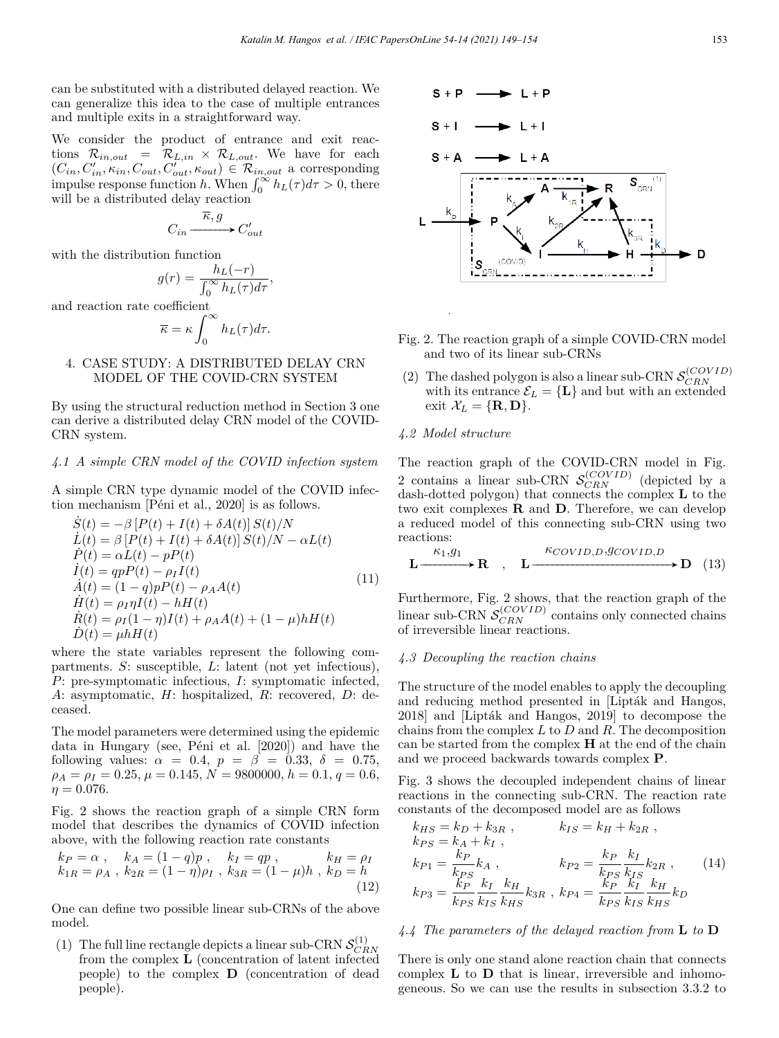can be substituted with a distributed delayed reaction. We can generalize this idea to the case of multiple entrances and multiple exits in a straightforward way.

We consider the product of entrance and exit reactions  $\mathcal{R}_{in,out}$  =  $\mathcal{R}_{L,in} \times \mathcal{R}_{L,out}$ . We have for each  $(C_{in}, C'_{in}, \kappa_{in}, C_{out}, C'_{out}, \kappa_{out}) \in \mathcal{R}_{in,out}$  a corresponding impulse response function *h*. When  $\int_0^\infty h_L(\tau) d\tau > 0$ , there will be a distributed delay reaction

$$
C_{in} \xrightarrow{\overline{\kappa}, g} C'_{out}
$$

with the distribution function

$$
g(r) = \frac{h_L(-r)}{\int_0^\infty h_L(\tau)d\tau},
$$

and reaction rate coefficient

$$
\overline{\kappa} = \kappa \int_0^\infty h_L(\tau) d\tau.
$$

# 4. CASE STUDY: A DISTRIBUTED DELAY CRN MODEL OF THE COVID-CRN SYSTEM

By using the structural reduction method in Section 3 one can derive a distributed delay CRN model of the COVID-CRN system.

# *4.1 A simple CRN model of the COVID infection system*

A simple CRN type dynamic model of the COVID infection mechanism [Péni et al., 2020] is as follows.

$$
\dot{S}(t) = -\beta [P(t) + I(t) + \delta A(t)] S(t)/N
$$
\n
$$
\dot{L}(t) = \beta [P(t) + I(t) + \delta A(t)] S(t)/N - \alpha L(t)
$$
\n
$$
\dot{P}(t) = \alpha L(t) - p(t)
$$
\n
$$
\dot{I}(t) = qpP(t) - \rho_I I(t)
$$
\n
$$
\dot{A}(t) = (1 - q)pP(t) - \rho_A A(t)
$$
\n
$$
\dot{H}(t) = \rho_I \eta I(t) - hH(t)
$$
\n
$$
\dot{R}(t) = \rho_I (1 - \eta) I(t) + \rho_A A(t) + (1 - \mu) hH(t)
$$
\n
$$
\dot{D}(t) = \mu hH(t)
$$

where the state variables represent the following compartments. *S*: susceptible, *L*: latent (not yet infectious), *P*: pre-symptomatic infectious, *I*: symptomatic infected, *A*: asymptomatic, *H*: hospitalized, *R*: recovered, *D*: deceased.

The model parameters were determined using the epidemic data in Hungary (see, Péni et al. [2020]) and have the following values:  $\alpha = 0.4$ ,  $p = \beta = 0.33$ ,  $\delta = 0.75$ ,  $\rho_A = \rho_I = 0.25, \mu = 0.145, N = 9800000, h = 0.1, q = 0.6,$  $\eta = 0.076$ .

Fig. 2 shows the reaction graph of a simple CRN form model that describes the dynamics of COVID infection above, with the following reaction rate constants

$$
k_P = \alpha \ , \quad k_A = (1 - q)p \ , \quad k_I = qp \ , \quad k_H = \rho_I k_{1R} = \rho_A \ , \ k_{2R} = (1 - \eta)\rho_I \ , \ k_{3R} = (1 - \mu)h \ , \ k_D = h (12)
$$

One can define two possible linear sub-CRNs of the above model.

(1) The full line rectangle depicts a linear sub-CRN  $\mathcal{S}_{CRN}^{(1)}$ from the complex **L** (concentration of latent infected people) to the complex **D** (concentration of dead people).



- Fig. 2. The reaction graph of a simple COVID-CRN model and two of its linear sub-CRNs
- (2) The dashed polygon is also a linear sub-CRN  $S_{CRN}^{(COVID)}$ with its entrance  $\mathcal{E}_L = \{L\}$  and but with an extended exit  $\mathcal{X}_L = {\mathbf{R}, \mathbf{D}}$ .

# *4.2 Model structure*

The reaction graph of the COVID-CRN model in Fig. 2 contains a linear sub-CRN  $S_{CRN}^{(COVID)}$  (depicted by a dash-dotted polygon) that connects the complex **L** to the two exit complexes **R** and **D**. Therefore, we can develop a reduced model of this connecting sub-CRN using two reactions:

$$
\mathbf{L} \xrightarrow{\kappa_1, g_1} \mathbf{R} \quad , \quad \mathbf{L} \xrightarrow{\kappa_{COVID,D}, g_{COVID,D}} \mathbf{D} \quad (13)
$$

Furthermore, Fig. 2 shows, that the reaction graph of the  $\frac{1}{CERN}$   $S_{CRN}^{(COVID)}$  contains only connected chains of irreversible linear reactions.

## *4.3 Decoupling the reaction chains*

The structure of the model enables to apply the decoupling and reducing method presented in [Lipták and Hangos, 2018] and [Lipták and Hangos, 2019] to decompose the chains from the complex *L* to *D* and *R*. The decomposition can be started from the complex **H** at the end of the chain and we proceed backwards towards complex **P**.

Fig. 3 shows the decoupled independent chains of linear reactions in the connecting sub-CRN. The reaction rate constants of the decomposed model are as follows

$$
k_{HS} = k_D + k_{3R} , \t k_{IS} = k_H + k_{2R} ,
$$
  
\n
$$
k_{PS} = k_A + k_I ,
$$
  
\n
$$
k_{P1} = \frac{k_P}{k_{PS}} k_A , \t k_{P2} = \frac{k_P}{k_{PS}} \frac{k_I}{k_{IS}} k_{2R} ,
$$
  
\n
$$
k_{P3} = \frac{k_P}{k_{PS}} \frac{k_I}{k_{IS}} \frac{k_H}{k_{HS}} k_{3R} , k_{P4} = \frac{k_P}{k_{PS}} \frac{k_I}{k_{IS}} \frac{k_H}{k_{HS}} k_D
$$
  
\n(14)

## *4.4 The parameters of the delayed reaction from* **L** *to* **D**

There is only one stand alone reaction chain that connects complex **L** to **D** that is linear, irreversible and inhomogeneous. So we can use the results in subsection 3.3.2 to